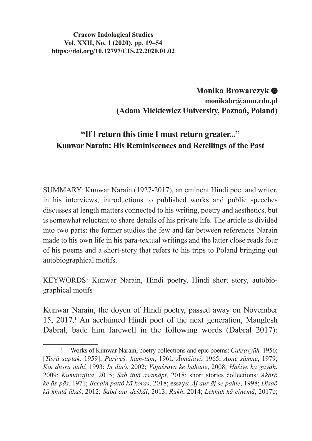#### **Cracow Indological Studies Vol. XXII, No. 1 (2020), pp. 19–54 https://doi.org/10.12797/CIS.22.2020.01.02**

# **Monika Browarczyk monikabr@amu.edu.pl (Adam Mickiewicz University, Poznań, Poland)**

# **"If I return this time I must return greater..." Kunwar Narain: His Reminiscences and Retellings of the Past**

SUMMARY: Kunwar Narain (1927-2017), an eminent Hindi poet and writer, in his interviews, introductions to published works and public speeches discusses at length matters connected to his writing, poetry and aesthetics, but is somewhat reluctant to share details of his private life. The article is divided into two parts: the former studies the few and far between references Narain made to his own life in his para-textual writings and the latter close reads four of his poems and a short-story that refers to his trips to Poland bringing out autobiographical motifs.

KEYWORDS: Kunwar Narain, Hindi poetry, Hindi short story, autobiographical motifs

Kunwar Narain, the doyen of Hindi poetry, passed away on November 15, 2017.<sup>1</sup> An acclaimed Hindi poet of the next generation, Manglesh Dabral, bade him farewell in the following words (Dabral 2017):

<sup>1</sup> Works of Kunwar Narain, poetry collections and epic poems: *Cakravyūh,* 1956; [*Tisrā saptak,* 1959]; *Pariveś: ham-tum*, 1961; *Ātmājayī*, 1965; *Apne sāmne*, 1979; *Koī dūsrā nahī*, 1993; *̃ In dinõ*, 2002; *Vājaśravā ke bahāne*, 2008; *Hāśiye kā gavāh*, 2009; *Kumārajīva*, 2015; *Sab itnā asamāpt*, 2018; short stories collections: *Ākārõ ke ās-pās*, 1971; *Becain pattõ kā koras*, 2018; essays: *Āj aur āj se pahle*, 1998; *Diśaõ kā khulā ākaś*, 2012; *Śabd aur deśkāl*, 2013; *Rukh*, 2014; *Lekhak kā cinemā*, 2017b;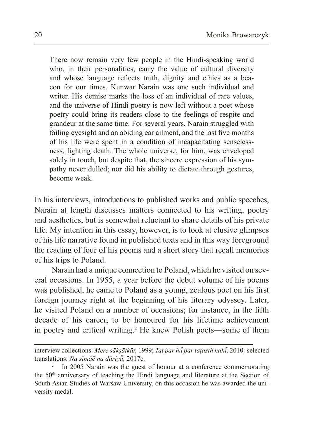There now remain very few people in the Hindi-speaking world who, in their personalities, carry the value of cultural diversity and whose language reflects truth, dignity and ethics as a beacon for our times. Kunwar Narain was one such individual and writer. His demise marks the loss of an individual of rare values, and the universe of Hindi poetry is now left without a poet whose poetry could bring its readers close to the feelings of respite and grandeur at the same time. For several years, Narain struggled with failing eyesight and an abiding ear ailment, and the last five months of his life were spent in a condition of incapacitating senselessness, fighting death. The whole universe, for him, was enveloped solely in touch, but despite that, the sincere expression of his sympathy never dulled; nor did his ability to dictate through gestures, become weak.

In his interviews, introductions to published works and public speeches, Narain at length discusses matters connected to his writing, poetry and aesthetics, but is somewhat reluctant to share details of his private life. My intention in this essay, however, is to look at elusive glimpses of his life narrative found in published texts and in this way foreground the reading of four of his poems and a short story that recall memories of his trips to Poland.

Narain had a unique connection to Poland, which he visited on several occasions. In 1955, a year before the debut volume of his poems was published, he came to Poland as a young, zealous poet on his first foreign journey right at the beginning of his literary odyssey. Later, he visited Poland on a number of occasions; for instance, in the fifth decade of his career, to be honoured for his lifetime achievement in poetry and critical writing.<sup>2</sup> He knew Polish poets—some of them

interview collections: *Mere sākṣātkār,* 1999; *Taṭ par hū par taṭasth nahi ̃ ̄, ̃*2010*;* selected translations: *Na sīmāẽ na dūriyā̃,* 2017c.

<sup>&</sup>lt;sup>2</sup> In 2005 Narain was the guest of honour at a conference commemorating the  $50<sup>th</sup>$  anniversary of teaching the Hindi language and literature at the Section of South Asian Studies of Warsaw University, on this occasion he was awarded the university medal.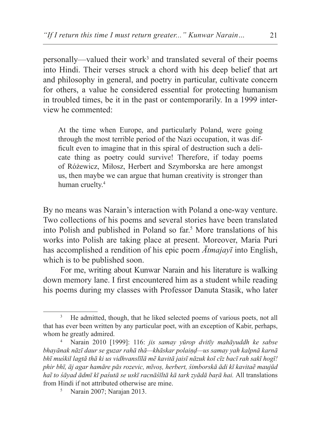personally—valued their work<sup>3</sup> and translated several of their poems into Hindi. Their verses struck a chord with his deep belief that art and philosophy in general, and poetry in particular, cultivate concern for others, a value he considered essential for protecting humanism in troubled times, be it in the past or contemporarily. In a 1999 interview he commented:

At the time when Europe, and particularly Poland, were going through the most terrible period of the Nazi occupation, it was difficult even to imagine that in this spiral of destruction such a delicate thing as poetry could survive! Therefore, if today poems of Różewicz, Miłosz, Herbert and Szymborska are here amongst us, then maybe we can argue that human creativity is stronger than human cruelty.<sup>4</sup>

By no means was Narain's interaction with Poland a one-way venture. Two collections of his poems and several stories have been translated into Polish and published in Poland so far.<sup>5</sup> More translations of his works into Polish are taking place at present. Moreover, Maria Puri has accomplished a rendition of his epic poem *Ātmajayī* into English, which is to be published soon.

For me, writing about Kunwar Narain and his literature is walking down memory lane. I first encountered him as a student while reading his poems during my classes with Professor Danuta Stasik, who later

<sup>3</sup> He admitted, though, that he liked selected poems of various poets, not all that has ever been written by any particular poet, with an exception of Kabir, perhaps, whom he greatly admired. 4 Narain 2010 [1999]: 116: *jis samay yūrop dvitīy mahāyuddh ke sabse* 

*bhayānak nāzī daur se guzar rahā thā—khāskar polaiṇḍ—us samay yah kalpnā karnā bhī muśkil lagtā thā ki us vidhvanslīlā mẽ kavitā jaisī nāzuk koī cīz bacī rah sakī hogī! phir bhī, āj agar hamāre pās rozevic, mīvoṣ, herbert, śimborskā ādi kī kavitaẽ maujūd haĩ to śāyad ādmī kī paśutā se uskī racnāśīltā kā tark zyādā baṛā hai.* All translations from Hindi if not attributed otherwise are mine. 5 Narain 2007; Narajan 2013.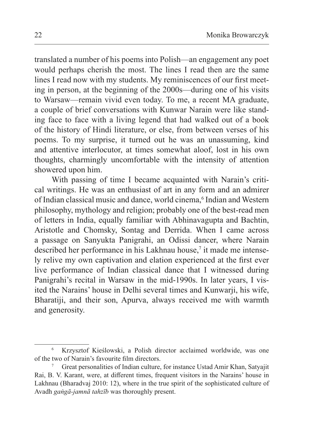translated a number of his poems into Polish—an engagement any poet would perhaps cherish the most. The lines I read then are the same lines I read now with my students. My reminiscences of our first meeting in person, at the beginning of the 2000s—during one of his visits to Warsaw—remain vivid even today. To me, a recent MA graduate, a couple of brief conversations with Kunwar Narain were like standing face to face with a living legend that had walked out of a book of the history of Hindi literature, or else, from between verses of his poems. To my surprise, it turned out he was an unassuming, kind and attentive interlocutor, at times somewhat aloof, lost in his own thoughts, charmingly uncomfortable with the intensity of attention showered upon him.

With passing of time I became acquainted with Narain's critical writings. He was an enthusiast of art in any form and an admirer of Indian classical music and dance, world cinema,<sup>6</sup> Indian and Western philosophy, mythology and religion; probably one of the best-read men of letters in India, equally familiar with Abhinavagupta and Bachtin, Aristotle and Chomsky, Sontag and Derrida. When I came across a passage on Sanyukta Panigrahi, an Odissi dancer, where Narain described her performance in his Lakhnau house,<sup>7</sup> it made me intensely relive my own captivation and elation experienced at the first ever live performance of Indian classical dance that I witnessed during Panigrahi's recital in Warsaw in the mid-1990s. In later years, I visited the Narains' house in Delhi several times and Kunwarji, his wife, Bharatiji, and their son, Apurva, always received me with warmth and generosity.

Krzysztof Kieślowski, a Polish director acclaimed worldwide, was one of the two of Narain's favourite film directors.

<sup>7</sup> Great personalities of Indian culture, for instance Ustad Amir Khan, Satyajit Rai, B. V. Karant, were, at different times, frequent visitors in the Narains' house in Lakhnau (Bharadvaj 2010: 12), where in the true spirit of the sophisticated culture of Avadh *gaṅgā-jamnā tahzīb* was thoroughly present.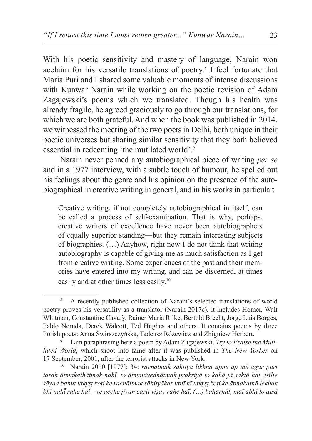With his poetic sensitivity and mastery of language, Narain won acclaim for his versatile translations of poetry.<sup>8</sup> I feel fortunate that Maria Puri and I shared some valuable moments of intense discussions with Kunwar Narain while working on the poetic revision of Adam Zagajewski's poems which we translated. Though his health was already fragile, he agreed graciously to go through our translations, for which we are both grateful. And when the book was published in 2014, we witnessed the meeting of the two poets in Delhi, both unique in their poetic universes but sharing similar sensitivity that they both believed essential in redeeming 'the mutilated world'.<sup>9</sup>

Narain never penned any autobiographical piece of writing *per se* and in a 1977 interview, with a subtle touch of humour, he spelled out his feelings about the genre and his opinion on the presence of the autobiographical in creative writing in general, and in his works in particular:

Creative writing, if not completely autobiographical in itself, can be called a process of self-examination. That is why, perhaps, creative writers of excellence have never been autobiographers of equally superior standing—but they remain interesting subjects of biographies. (…) Anyhow, right now I do not think that writing autobiography is capable of giving me as much satisfaction as I get from creative writing. Some experiences of the past and their memories have entered into my writing, and can be discerned, at times easily and at other times less easily.<sup>10</sup>

<sup>8</sup> A recently published collection of Narain's selected translations of world poetry proves his versatility as a translator (Narain 2017c), it includes Homer, Walt Whitman, Constantine Cavafy, Rainer Maria Rilke, Bertold Brecht, Jorge Luis Borges, Pablo Neruda, Derek Walcott, Ted Hughes and others. It contains poems by three Polish poets: Anna Świrszczyńska, Tadeusz Różewicz and Zbigniew Herbert.

<sup>9</sup> I am paraphrasing here a poem by Adam Zagajewski, *Try to Praise the Mutilated World*, which shoot into fame after it was published in *The New Yorker* on <sup>17</sup> September, 2001, after the terrorist attacks in New York. 10 Narain 2010 [1977]: 34: *racnātmak sāhitya likhnā apne āp mẽ agar pūrī* 

*tarah ātmakathātmak nahī, to ̃ ātmanivednātmak prakriyā to kahā jā saktā hai. isīlie śāyad bahut utkr̥ṣṭ koṭi ke racnātmak sāhityākar utnī hī utkr̥ṣṭ koṭi ke ātmakathā lekhak bhī nahĩ ̄ rahe haĩ—ve acche jīvan carit viṣay rahe haĩ. (…) baharhāl, maĩ abhī to aisā*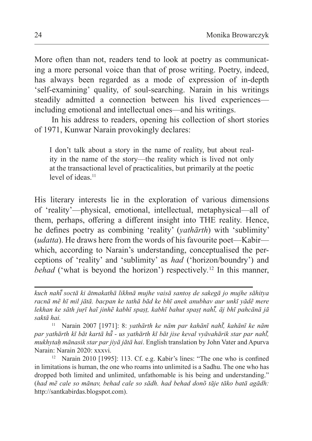More often than not, readers tend to look at poetry as communicating a more personal voice than that of prose writing. Poetry, indeed, has always been regarded as a mode of expression of in-depth 'self-examining' quality, of soul-searching. Narain in his writings steadily admitted a connection between his lived experiences including emotional and intellectual ones—and his writings.

In his address to readers, opening his collection of short stories of 1971, Kunwar Narain provokingly declares:

I don't talk about a story in the name of reality, but about reality in the name of the story—the reality which is lived not only at the transactional level of practicalities, but primarily at the poetic level of ideas.<sup>11</sup>

His literary interests lie in the exploration of various dimensions of 'reality'—physical, emotional, intellectual, metaphysical—all of them, perhaps, offering a different insight into THE reality. Hence, he defines poetry as combining 'reality' (*yathārth*) with 'sublimity' (*udatta*). He draws here from the words of his favourite poet—Kabir which, according to Narain's understanding, conceptualised the perceptions of 'reality' and 'sublimity' as *had* ('horizon/boundry') and *behad* ('what is beyond the horizon') respectively*.* <sup>12</sup> In this manner,

<sup>11</sup> Narain 2007 [1971]: 8: *yathārth ke nām par kahānī nahī, kahānī ke ̃ nām par yathārth kī bāt kartā hū - us ̃ yathārth kī bāt jise keval vyāvahārik star par nahī, ̃ mukhytaḥ mānasik star par jiyā jātā hai*. English translation by John Vater and Apurva Narain: Narain 2020: xxxvi.

<sup>12</sup> Narain 2010 [1995]: 113. Cf. e.g. Kabir's lines: "The one who is confined in limitations is human, the one who roams into unlimited is a Sadhu. The one who has dropped both limited and unlimited, unfathomable is his being and understanding." (*had mẽ cale so mānav, behad cale so sādh. had behad donõ tāje tāko batā agādh:*  http://santkabirdas.blogspot.com).

*kuch nahĩ ̄ soctā ki ātmakathā likhnā mujhe vaisā santoṣ de sakegā jo mujhe sāhitya racnā mẽ hī mil jātā. bacpan ke tathā bād ke bhī anek anubhav aur unkī yādẽ mere lekhan ke sāth juṛī haĩ jinhẽ kabhī spaṣṭ, kabhī bahut spaṣṭ nahĩ ̄, āj bhī pahcānā jā saktā hai.*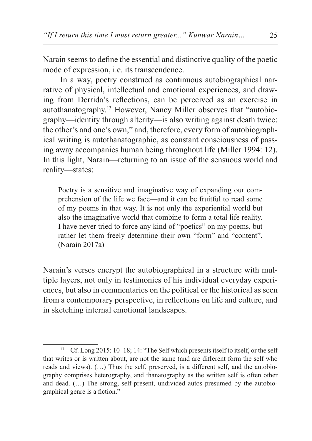Narain seems to define the essential and distinctive quality of the poetic mode of expression, i.e. its transcendence.

In a way, poetry construed as continuous autobiographical narrative of physical, intellectual and emotional experiences, and drawing from Derrida's reflections, can be perceived as an exercise in autothanatography.13 However, Nancy Miller observes that "autobiography—identity through alterity—is also writing against death twice: the other's and one's own," and, therefore, every form of autobiographical writing is autothanatographic, as constant consciousness of passing away accompanies human being throughout life (Miller 1994: 12). In this light, Narain—returning to an issue of the sensuous world and reality—states:

Poetry is a sensitive and imaginative way of expanding our comprehension of the life we face—and it can be fruitful to read some of my poems in that way. It is not only the experiential world but also the imaginative world that combine to form a total life reality. I have never tried to force any kind of "poetics" on my poems, but rather let them freely determine their own "form" and "content". (Narain 2017a)

Narain's verses encrypt the autobiographical in a structure with multiple layers, not only in testimonies of his individual everyday experiences, but also in commentaries on the political or the historical as seen from a contemporary perspective, in reflections on life and culture, and in sketching internal emotional landscapes.

<sup>13</sup> Cf. Long 2015: 10–18; 14: "The Self which presents itself to itself, or the self that writes or is written about, are not the same (and are different form the self who reads and views). (…) Thus the self, preserved, is a different self, and the autobiography comprises heterography, and thanatography as the written self is often other and dead. (…) The strong, self-present, undivided autos presumed by the autobiographical genre is a fiction."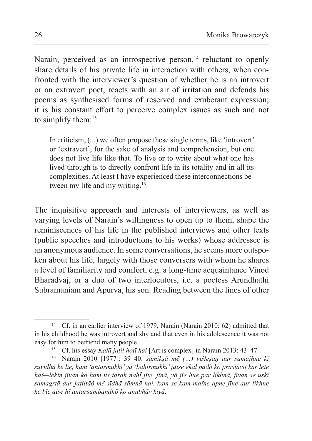Narain, perceived as an introspective person, $14$  reluctant to openly share details of his private life in interaction with others, when confronted with the interviewer's question of whether he is an introvert or an extravert poet, reacts with an air of irritation and defends his poems as synthesised forms of reserved and exuberant expression; it is his constant effort to perceive complex issues as such and not to simplify them:<sup>15</sup>

In criticism, (...) we often propose these single terms, like 'introvert' or 'extravert', for the sake of analysis and comprehension, but one does not live life like that. To live or to write about what one has lived through is to directly confront life in its totality and in all its complexities. At least I have experienced these interconnections between my life and my writing.<sup>16</sup>

The inquisitive approach and interests of interviewers, as well as varying levels of Narain's willingness to open up to them, shape the reminiscences of his life in the published interviews and other texts (public speeches and introductions to his works) whose addressee is an anonymous audience. In some conversations, he seems more outspoken about his life, largely with those conversers with whom he shares a level of familiarity and comfort, e.g. a long-time acquaintance Vinod Bharadvaj, or a duo of two interlocutors, i.e. a poetess Arundhathi Subramaniam and Apurva, his son. Reading between the lines of other

<sup>&</sup>lt;sup>14</sup> Cf. in an earlier interview of 1979, Narain (Narain 2010: 62) admitted that in his childhood he was introvert and shy and that even in his adolescence it was not easy for him to befriend many people. 15 Cf. his essay *Kalā jaṭil hotī hai* [Art is complex] in Narain 2013: 43–47.

<sup>16</sup> Narain 2010 [1977]: 39–40: *samikṣā mẽ (…) viśleṣaṇ aur samajhne kī suvidhā ke lie, ham 'antarmukhī' yā 'bahirmukhī' jaise ekal padõ ko prastāvit kar lete haĩ—lekin jīvan ko ham us tarah nahī jīte. ̃ jīnā, yā jīe hue par likhnā, jīvan se uskī samagrtā aur jaṭiltāõ mẽ sīdhā sāmnā hai. kam se kam maĩne apne jīne aur likhne ke bīc aise hī antarsambandhõ ko anubhāv kiyā*.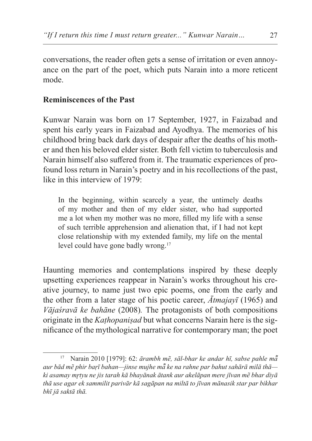conversations, the reader often gets a sense of irritation or even annoyance on the part of the poet, which puts Narain into a more reticent mode.

## **Reminiscences of the Past**

Kunwar Narain was born on 17 September, 1927, in Faizabad and spent his early years in Faizabad and Ayodhya. The memories of his childhood bring back dark days of despair after the deaths of his mother and then his beloved elder sister. Both fell victim to tuberculosis and Narain himself also suffered from it. The traumatic experiences of profound loss return in Narain's poetry and in his recollections of the past, like in this interview of 1979:

In the beginning, within scarcely a year, the untimely deaths of my mother and then of my elder sister, who had supported me a lot when my mother was no more, filled my life with a sense of such terrible apprehension and alienation that, if I had not kept close relationship with my extended family, my life on the mental level could have gone badly wrong.<sup>17</sup>

Haunting memories and contemplations inspired by these deeply upsetting experiences reappear in Narain's works throughout his creative journey, to name just two epic poems, one from the early and the other from a later stage of his poetic career, *Ātmajayī* (1965) and *Vājaśravā ke bahāne* (2008)*.* The protagonists of both compositions originate in the *Kaṭhopaniṣad* but what concerns Narain here is the significance of the mythological narrative for contemporary man; the poet

<sup>17</sup> Narain 2010 [1979]: 62: *ārambh mẽ, sāl-bhar ke andar hī, sabse pahle mā̃ aur bād mẽ phir baṛī bahan—jinse mujhe mā ke ̃ na rahne par bahut sahārā milā thā ki asamay mr̥tyu ne jis tarah kā bhayānak ātank aur akelāpan mere jīvan mẽ bhar diyā thā use agar ek sammilit parivār kā sagāpan na miltā to jīvan mānasik star par bikhar bhī jā saktā thā.*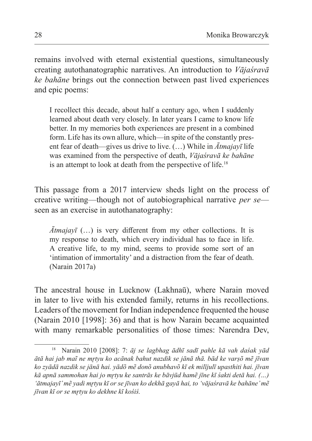remains involved with eternal existential questions, simultaneously creating autothanatographic narratives. An introduction to *Vājaśravā ke bahāne* brings out the connection between past lived experiences and epic poems:

I recollect this decade, about half a century ago, when I suddenly learned about death very closely. In later years I came to know life better. In my memories both experiences are present in a combined form. Life has its own allure, which—in spite of the constantly present fear of death—gives us drive to live. (…) While in *Ātmajayī* life was examined from the perspective of death, *Vājaśravā ke bahāne* is an attempt to look at death from the perspective of life.<sup>18</sup>

This passage from a 2017 interview sheds light on the process of creative writing—though not of autobiographical narrative *per se* seen as an exercise in autothanatography:

*Ātmajayī* (…) is very different from my other collections. It is my response to death, which every individual has to face in life. A creative life, to my mind, seems to provide some sort of an 'intimation of immortality' and a distraction from the fear of death. (Narain 2017a)

The ancestral house in Lucknow (Lakhnaū), where Narain moved in later to live with his extended family, returns in his recollections. Leaders of the movement for Indian independence frequented the house (Narain 2010 [1998]: 36) and that is how Narain became acquainted with many remarkable personalities of those times: Narendra Dev,

<sup>18</sup> Narain 2010 [2008]: 7: *āj se lagbhag ādhī sadī pahle kā vah daśak yād ātā hai jab maĩ ne mr̥tyu ko acānak bahut nazdik se jānā thā. bād ke varṣõ mẽ jīvan ko zyādā nazdik se jānā hai. yādõ mẽ donõ anubhavõ kī ek milījulī upasthiti hai. jīvan kā apnā sammohan hai jo mr̥tyu ke santrās ke bāvjūd hamẽ jīne kī śakti detā hai. (…) 'ātmajayī' mẽ yadi mr̥tyu kī or se jīvan ko dekhā gayā hai, to 'vājaśravā ke bahāne' mẽ jīvan kī or se mr̥tyu ko dekhne kī kośiś.*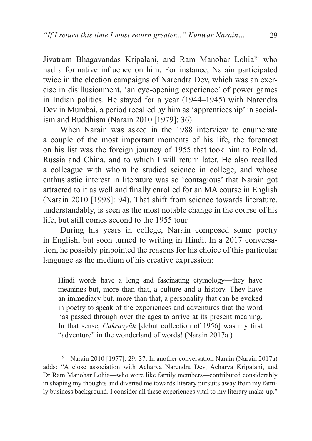Jivatram Bhagavandas Kripalani, and Ram Manohar Lohia<sup>19</sup> who had a formative influence on him. For instance, Narain participated twice in the election campaigns of Narendra Dev, which was an exercise in disillusionment, 'an eye-opening experience' of power games in Indian politics. He stayed for a year (1944–1945) with Narendra Dev in Mumbai, a period recalled by him as 'apprenticeship' in socialism and Buddhism (Narain 2010 [1979]: 36).

When Narain was asked in the 1988 interview to enumerate a couple of the most important moments of his life, the foremost on his list was the foreign journey of 1955 that took him to Poland, Russia and China, and to which I will return later. He also recalled a colleague with whom he studied science in college, and whose enthusiastic interest in literature was so 'contagious' that Narain got attracted to it as well and finally enrolled for an MA course in English (Narain 2010 [1998]: 94). That shift from science towards literature, understandably, is seen as the most notable change in the course of his life, but still comes second to the 1955 tour.

During his years in college, Narain composed some poetry in English, but soon turned to writing in Hindi. In a 2017 conversation, he possibly pinpointed the reasons for his choice of this particular language as the medium of his creative expression:

Hindi words have a long and fascinating etymology—they have meanings but, more than that, a culture and a history. They have an immediacy but, more than that, a personality that can be evoked in poetry to speak of the experiences and adventures that the word has passed through over the ages to arrive at its present meaning. In that sense, *Cakravyūh* [debut collection of 1956] was my first "adventure" in the wonderland of words! (Narain 2017a )

<sup>19</sup> Narain 2010 [1977]: 29; 37. In another conversation Narain (Narain 2017a) adds: "A close association with Acharya Narendra Dev, Acharya Kripalani, and Dr Ram Manohar Lohia—who were like family members—contributed considerably in shaping my thoughts and diverted me towards literary pursuits away from my family business background. I consider all these experiences vital to my literary make-up."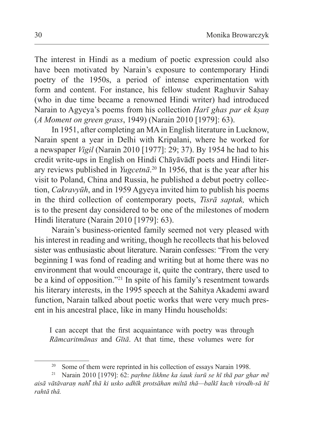The interest in Hindi as a medium of poetic expression could also have been motivated by Narain's exposure to contemporary Hindi poetry of the 1950s, a period of intense experimentation with form and content. For instance, his fellow student Raghuvir Sahay (who in due time became a renowned Hindi writer) had introduced Narain to Agyeya's poems from his collection *Harī ghas par ek kṣaṇ*  (*A Moment on green grass*, 1949) (Narain 2010 [1979]: 63).

In 1951, after completing an MAin English literature in Lucknow, Narain spent a year in Delhi with Kripalani, where he worked for a newspaper *Vigil* (Narain 2010 [1977]: 29; 37). By 1954 he had to his credit write-ups in English on Hindi Chāyāvādī poets and Hindi literary reviews published in *Yugcetnā*. 20 In 1956, that is the year after his visit to Poland, China and Russia, he published a debut poetry collection, *Cakravyūh*, and in 1959 Agyeya invited him to publish his poems in the third collection of contemporary poets, *Tisrā saptak,* which is to the present day considered to be one of the milestones of modern Hindi literature (Narain 2010 [1979]: 63).

Narain's business-oriented family seemed not very pleased with his interest in reading and writing, though he recollects that his beloved sister was enthusiastic about literature. Narain confesses: "From the very beginning I was fond of reading and writing but at home there was no environment that would encourage it, quite the contrary, there used to be a kind of opposition."21 In spite of his family's resentment towards his literary interests, in the 1995 speech at the Sahitya Akademi award function, Narain talked about poetic works that were very much present in his ancestral place, like in many Hindu households:

I can accept that the first acquaintance with poetry was through *Rāmcaritmānas* and *Gītā*. At that time, these volumes were for

<sup>&</sup>lt;sup>20</sup> Some of them were reprinted in his collection of essays Narain 1998.

<sup>21</sup> Narain 2010 [1979]: 62: *paṛhne likhne ka śauk śurū se hī thā par ghar mẽ aisā vātāvaraṇ nahī thā ki ̃ usko adhīk protsāhan miltā thā—balkī kuch virodh-sā hī rahtā thā.*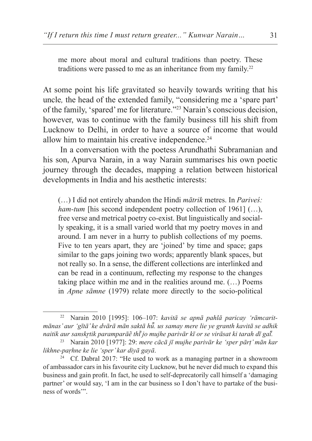me more about moral and cultural traditions than poetry. These traditions were passed to me as an inheritance from my family.<sup>22</sup>

At some point his life gravitated so heavily towards writing that his uncle*,* the head of the extended family, "considering me a 'spare part' of the family, 'spared' me for literature."<sup>23</sup> Narain's conscious decision, however, was to continue with the family business till his shift from Lucknow to Delhi, in order to have a source of income that would allow him to maintain his creative independence.<sup>24</sup>

In a conversation with the poetess Arundhathi Subramanian and his son, Apurva Narain, in a way Narain summarises his own poetic journey through the decades, mapping a relation between historical developments in India and his aesthetic interests:

(…) I did not entirely abandon the Hindi *mātrik* metres. In *Pariveś: ham-tum* [his second independent poetry collection of 1961] (...), free verse and metrical poetry co-exist. But linguistically and socially speaking, it is a small varied world that my poetry moves in and around. I am never in a hurry to publish collections of my poems. Five to ten years apart, they are 'joined' by time and space; gaps similar to the gaps joining two words; apparently blank spaces, but not really so. In a sense, the different collections are interlinked and can be read in a continuum, reflecting my response to the changes taking place within me and in the realities around me. (…) Poems in *Apne sāmne* (1979) relate more directly to the socio-political

<sup>22</sup> Narain 2010 [1995]: 106–107: *kavitā se apnā pahlā paricay 'rāmcaritmānas' aur 'gītā' ke dvārā mān saktā hū. us ̃ samay mere lie ye granth kavitā se adhik naitik aur sanskr̥tik paramparāẽ thī jõ mujhe parivār kī or se virāsat ki tarah dī gaĩ ̄.*

<sup>23</sup> Narain 2010 [1977]: 29: *mere cācā jī mujhe parivār ke 'sper pārṭ' mān kar likhne-paṛhne ke lie 'sper' kar diyā gayā*.

 $24$  Cf. Dabral 2017: "He used to work as a managing partner in a showroom of ambassador cars in his favourite city Lucknow, but he never did much to expand this business and gain profit. In fact, he used to self-deprecatorily call himself a 'damaging partner' or would say, 'I am in the car business so I don't have to partake of the business of words'".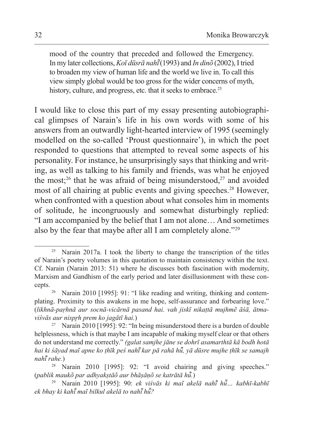mood of the country that preceded and followed the Emergency. In my later collections,*Koī dūsrā nahī̃* (1993) and *In dinõ* (2002), Itried to broaden my view of human life and the world we live in. To call this view simply global would be too gross for the wider concerns of myth, history, culture, and progress, etc. that it seeks to embrace.<sup>25</sup>

I would like to close this part of my essay presenting autobiographical glimpses of Narain's life in his own words with some of his answers from an outwardly light-hearted interview of 1995 (seemingly modelled on the so-called 'Proust questionnaire'), in which the poet responded to questions that attempted to reveal some aspects of his personality. For instance, he unsurprisingly says that thinking and writing, as well as talking to his family and friends, was what he enjoyed the most;<sup>26</sup> that he was afraid of being misunderstood,<sup>27</sup> and avoided most of all chairing at public events and giving speeches.<sup>28</sup> However, when confronted with a question about what consoles him in moments of solitude, he incongruously and somewhat disturbingly replied: "I am accompanied by the belief that I am not alone… And sometimes also by the fear that maybe after all I am completely alone."29

<sup>&</sup>lt;sup>25</sup> Narain 2017a. I took the liberty to change the transcription of the titles of Narain's poetry volumes in this quotation to maintain consistency within the text. Cf. Narain (Narain 2013: 51) where he discusses both fascination with modernity, Marxism and Gandhism of the early period and later disillusionment with these concepts.

<sup>26</sup> Narain 2010 [1995]: 91: "I like reading and writing, thinking and contemplating. Proximity to this awakens in me hope, self-assurance and forbearing love." (*likhnā-paṛhnā aur socnā-vicārnā pasand hai. vah jiskī nikaṭtā mujhmẽ āśā, ātmaviśvās aur nisprh prem ko jagātī hai.*)<br><sup>27</sup> Narain 2010 [1995]: 92: "In being misunderstood there is a burden of double

helplessness, which is that maybe I am incapable of making myself clear or that others do not understand me correctly." *(galat samjhe jāne se dohrī asamarthtā kā bodh hotā hai ki śāyad maĩ apne ko ṭhīk peś nahī kar pā rahā hu ̃ ̄, yā dūsre mujhe ṭhīk se ̃ samajh* 

<sup>&</sup>lt;sup>28</sup> Narain 2010 [1995]: 92: "I avoid chairing and giving speeches." (*pablik maukõ par adhyakṣtāõ aur bhāṣāṇõ se katrātā hū.*

*<sup>̃</sup>*) 29 Narain 2010 [1995]: 90: *ek viśvās ki maĩ akelā nahī hu ̃ ̄… kabhī-kabhī ̃ ek bhay ki kahī maĩ bilkul akelā to nahī hũ?*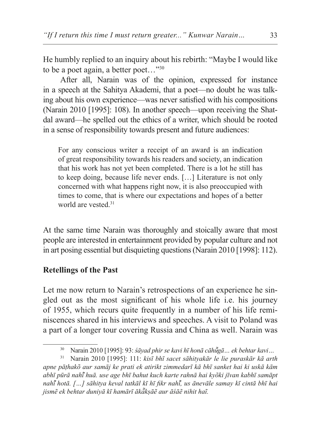He humbly replied to an inquiry about his rebirth: "Maybe I would like to be a poet again, a better poet…"30

After all, Narain was of the opinion, expressed for instance in a speech at the Sahitya Akademi, that a poet—no doubt he was talking about his own experience—was never satisfied with his compositions (Narain 2010 [1995]: 108). In another speech—upon receiving the Shatdal award—he spelled out the ethics of a writer, which should be rooted in a sense of responsibility towards present and future audiences:

For any conscious writer a receipt of an award is an indication of great responsibility towards his readers and society, an indication that his work has not yet been completed. There is a lot he still has to keep doing, because life never ends. […] Literature is not only concerned with what happens right now, it is also preoccupied with times to come, that is where our expectations and hopes of a better world are vested.<sup>31</sup>

At the same time Narain was thoroughly and stoically aware that most people are interested in entertainment provided by popular culture and not in art posing essential but disquieting questions (Narain 2010 [1998]: 112).

#### **Retellings of the Past**

Let me now return to Narain's retrospections of an experience he singled out as the most significant of his whole life i.e. his journey of 1955, which recurs quite frequently in a number of his life reminiscences shared in his interviews and speeches. A visit to Poland was a part of a longer tour covering Russia and China as well. Narain was

<sup>30</sup> Narain 2010 [1995]: 93: *śāyad phir se kavi hī honā cāhūgā… ek ̃ behtar kavi…*

<sup>31</sup> Narain 2010 [1995]: 111: *kisī bhī sacet sāhityakār le lie puraskār kā arth apne pāṭhakõ aur samāj ke prati ek atirikt zimmedarī kā bhī sanket hai ki uskā kām abhī pūrā nahī huā. use age bhī bahut kuch karte rahnā hai kyõki jīvan kabhī samāpt ̃ nahī hotā. […] sāhitya keval tatkāl kī hī fikr nahi ̃ ̄, us ̃ ānevāle samay kī cintā bhī hai jismẽ ek behtar duniyā kī hamārī ākākṣāẽ aur ā ̃ śāẽ nihit haĩ.*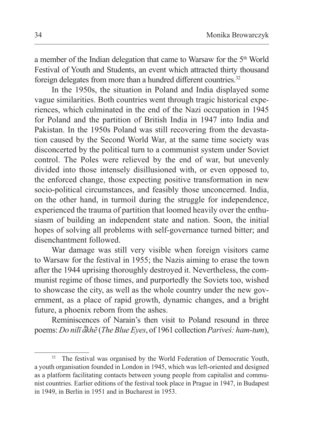a member of the Indian delegation that came to Warsaw for the 5<sup>th</sup> World Festival of Youth and Students, an event which attracted thirty thousand foreign delegates from more than a hundred different countries.<sup>32</sup>

In the 1950s, the situation in Poland and India displayed some vague similarities. Both countries went through tragic historical experiences, which culminated in the end of the Nazi occupation in 1945 for Poland and the partition of British India in 1947 into India and Pakistan. In the 1950s Poland was still recovering from the devastation caused by the Second World War, at the same time society was disconcerted by the political turn to a communist system under Soviet control. The Poles were relieved by the end of war, but unevenly divided into those intensely disillusioned with, or even opposed to, the enforced change, those expecting positive transformation in new socio-political circumstances, and feasibly those unconcerned. India, on the other hand, in turmoil during the struggle for independence, experienced the trauma of partition that loomed heavily over the enthusiasm of building an independent state and nation. Soon, the initial hopes of solving all problems with self-governance turned bitter; and disenchantment followed.

War damage was still very visible when foreign visitors came to Warsaw for the festival in 1955; the Nazis aiming to erase the town after the 1944 uprising thoroughly destroyed it. Nevertheless, the communist regime of those times, and purportedly the Soviets too, wished to showcase the city, as well as the whole country under the new government, as a place of rapid growth, dynamic changes, and a bright future, a phoenix reborn from the ashes.

Reminiscences of Narain's then visit to Poland resound in three poems: *Do nilī ākhẽ ̃* (*The Blue Eyes*, of 1961 collection *Pariveś: ham-tum*),

The festival was organised by the World Federation of Democratic Youth, a youth organisation founded in London in 1945, which was left-oriented and designed as a platform facilitating contacts between young people from capitalist and communist countries. Earlier editions of the festival took place in Prague in 1947, in Budapest in 1949, in Berlin in 1951 and in Bucharest in 1953.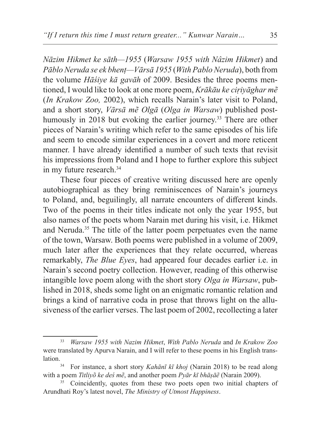*Nāzim Hikmet ke sāth—1955* (*Warsaw 1955 with Nâzim Hikmet*) and *Pāblo Neruda se ek bhenṭ—Vārsā 1955* (*With Pablo Neruda*), both from the volume *Hāśiye kā gavāh* of 2009. Besides the three poems mentioned, I would like to look at one more poem, *Krākāu ke ciṛiyāghar mẽ* (*In Krakow Zoo,* 2002), which recalls Narain's later visit to Poland, and a short story, *Vārsā mẽ Olgā* (*Olga in Warsaw*) published posthumously in 2018 but evoking the earlier journey.<sup>33</sup> There are other pieces of Narain's writing which refer to the same episodes of his life and seem to encode similar experiences in a covert and more reticent manner. I have already identified a number of such texts that revisit his impressions from Poland and I hope to further explore this subject in my future research.<sup>34</sup>

These four pieces of creative writing discussed here are openly autobiographical as they bring reminiscences of Narain's journeys to Poland, and, beguilingly, all narrate encounters of different kinds. Two of the poems in their titles indicate not only the year 1955, but also names of the poets whom Narain met during his visit, i.e. Hikmet and Neruda.35 The title of the latter poem perpetuates even the name of the town, Warsaw. Both poems were published in a volume of 2009, much later after the experiences that they relate occurred, whereas remarkably, *The Blue Eyes*, had appeared four decades earlier i.e. in Narain's second poetry collection. However, reading of this otherwise intangible love poem along with the short story *Olga in Warsaw*, published in 2018, sheds some light on an enigmatic romantic relation and brings a kind of narrative coda in prose that throws light on the allusiveness of the earlier verses. The last poem of 2002, recollecting a later

<sup>33</sup> *Warsaw 1955 with Nazim Hikmet*, *With Pablo Neruda* and *In Krakow Zoo*  were translated by Apurva Narain, and I will refer to these poems in his English translation.34 For instance, a short story *Kahānī kī khoj* (Narain 2018) to be read along

with a poem *Titliyõ ke deś mẽ*, and another poem *Pyār kī bhāṣāẽ* (Narain 2009).

<sup>&</sup>lt;sup>35</sup> Coincidently, quotes from these two poets open two initial chapters of Arundhati Roy's latest novel, *The Ministry of Utmost Happiness*.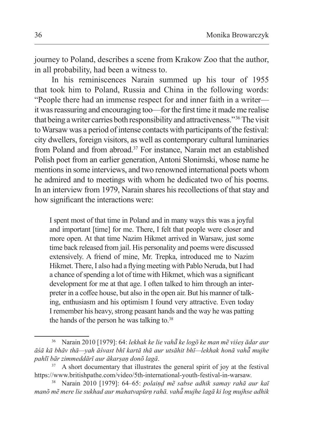journey to Poland, describes a scene from Krakow Zoo that the author, in all probability, had been a witness to.

In his reminiscences Narain summed up his tour of 1955 that took him to Poland, Russia and China in the following words: "People there had an immense respect for and inner faith in a writer it was reassuring and encouraging too—for the first time it made me realise that being awriter carries both responsibility and attractiveness."36 The visit to Warsaw was a period of intense contacts with participants of the festival: city dwellers, foreign visitors, as well as contemporary cultural luminaries from Poland and from abroad.37 For instance, Narain met an established Polish poet from an earlier generation, Antoni Słonimski, whose name he mentions in some interviews, and two renowned international poets whom he admired and to meetings with whom he dedicated two of his poems. In an interview from 1979, Narain shares his recollections of that stay and how significant the interactions were:

I spent most of that time in Poland and in many ways this was a joyful and important [time] for me. There, I felt that people were closer and more open. At that time Nazim Hikmet arrived in Warsaw, just some time back released from jail. His personality and poems were discussed extensively. A friend of mine, Mr. Trepka, introduced me to Nazim Hikmet. There, I also had a flying meeting with Pablo Neruda, but I had a chance of spending a lot of time with Hikmet, which was a significant development for me at that age. I often talked to him through an interpreter in a coffee house, but also in the open air. But his manner of talking, enthusiasm and his optimism I found very attractive. Even today I remember his heavy, strong peasant hands and the way he was patting the hands of the person he was talking to.38

<sup>36</sup> Narain 2010 [1979]: 64: *lekhak ke lie vahā ke ̃ logo ke man mẽ viśeṣ ādar aur āśā kā bhāv thā—yah āśvast bhī kartā thā aur utsāhit bhī—lekhak honā vahā mujhe ̃ pahlī bār zimmeddārī aur ākarṣaṇ donõ lagā*.

<sup>&</sup>lt;sup>37</sup> A short documentary that illustrates the general spirit of joy at the festival https://www.britishpathe.com/video/5th-international-youth-festival-in-warsaw.

<sup>38</sup> Narain 2010 [1979]: 64–65: *polaiṇḍ mẽ sabse adhik samay rahā aur kaī manõ mẽ mere lie sukhad aur mahatvapūrṇ rahā. vahā mujhe lagā ki ̃ log mujhse adhik*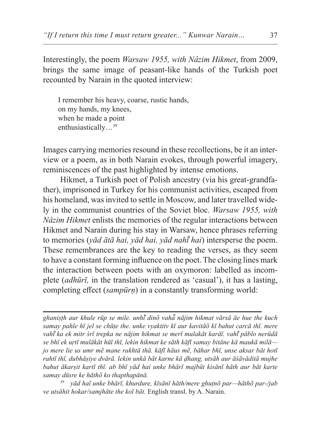Interestingly, the poem *Warsaw 1955, with Nâzim Hikmet*, from 2009, brings the same image of peasant-like hands of the Turkish poet recounted by Narain in the quoted interview:

I remember his heavy, coarse, rustic hands, on my hands, my knees, when he made a point enthusiastically…39

Images carrying memories resound in these recollections, be it an interview or a poem, as in both Narain evokes, through powerful imagery, reminiscences of the past highlighted by intense emotions.

Hikmet, a Turkish poet of Polish ancestry (via his great-grandfather), imprisoned in Turkey for his communist activities, escaped from his homeland, was invited to settle in Moscow, and later travelled widely in the communist countries of the Soviet bloc. *Warsaw 1955, with Nâzim Hikmet* enlists the memories of the regular interactions between Hikmet and Narain during his stay in Warsaw, hence phrases referring to memories (*yād ātā hai, yād hai, yād nahī hai ̃* ) intersperse the poem. These remembrances are the key to reading the verses, as they seem to have a constant forming influence on the poet. The closing lines mark the interaction between poets with an oxymoron: labelled as incomplete (*adhūrī,* in the translation rendered as 'casual'), it has a lasting, completing effect (*sampūrṇ*) in a constantly transforming world:

*ghaniṣṭh aur khule rūp se mile. unhī dinõ vaha ̃ ̄ nājim hikmat vārsā āe hue the ̃ kuch samay pahle hī jel se chūṭe the. unke vyaktitv kī aur kavitāõ kī bahut carcā thī. mere vahī ka ̃ ek mitr śrī trepka ne nājim hikmat se merī mulakāt karāī. vahī pāblo nerūdā ̃ se bhī ek uṛtī mulākāt hūī thī, lekin hikmat ke sāth kāfī samay bitāne kā maukā milā jo mere lie us umr mẽ mane rakhtā thā. kāfī hāus mẽ, bāhar bhī, unse aksar bāt hotī rahtī thī, dubhāṣiye dvārā. lekin unkā bāt karne kā ḍhang, utsāh aur āśāvāditā mujhe bahut ākarṣit kartī thī. ab bhī yād hai unke bhārī majbūt kisānī hāth aur bāt karte samay dūsre ke hāthõ ko thapthapānā.*

<sup>39</sup> *yād haĩ unke bhārī, khurdure, kīsānī hāth/mere ghuṭnõ par—hāthõ par-/jab ve utsāhit hokar/samjhāte the koī bāt.* English transl. by A. Narain.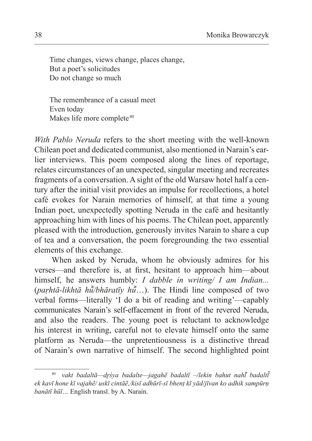Time changes, views change, places change, But a poet's solicitudes Do not change so much

The remembrance of a casual meet Even today Makes life more complete <sup>40</sup>

*With Pablo Neruda* refers to the short meeting with the well-known Chilean poet and dedicated communist, also mentioned in Narain's earlier interviews. This poem composed along the lines of reportage, relates circumstances of an unexpected, singular meeting and recreates fragments of a conversation. A sight of the old Warsaw hotel half a century after the initial visit provides an impulse for recollections, a hotel café evokes for Narain memories of himself, at that time a young Indian poet, unexpectedly spotting Neruda in the café and hesitantly approaching him with lines of his poems. The Chilean poet, apparently pleased with the introduction, generously invites Narain to share a cup of tea and a conversation, the poem foregrounding the two essential elements of this exchange.

When asked by Neruda, whom he obviously admires for his verses—and therefore is, at first, hesitant to approach him—about himself, he answers humbly: *I dabble in writing/ I am Indian...* (*paṛhtā-likhtā hū/bhāratīy hu ̃ ̄*…). The *̃* Hindi line composed of two verbal forms—literally 'I do a bit of reading and writing'—capably communicates Narain's self-effacement in front of the revered Neruda, and also the readers. The young poet is reluctant to acknowledge his interest in writing, careful not to elevate himself onto the same platform as Neruda—the unpretentiousness is a distinctive thread of Narain's own narrative of himself. The second highlighted point

<sup>40</sup> *vakt badaltā—dr̥śya badalte—jagahẽ badaltī –/lekin bahut nahī badaltī ̃ ̃ ek kavī hone kī vajahẽ/ uskī cintāẽ,/kisī adhūrī-sī bhenṭ kī yād/jīvan ko adhik sampūrṇ banātī hūī…* English transl. by A. Narain.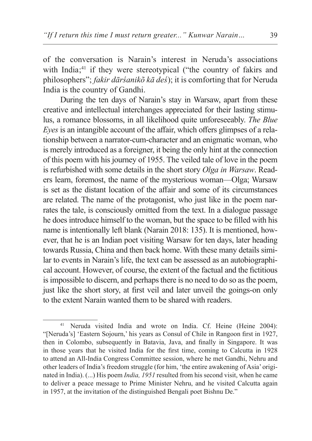of the conversation is Narain's interest in Neruda's associations with India; $41$  if they were stereotypical ("the country of fakirs and philosophers"; *fakir dārśanikõ kā deś*); it is comforting that for Neruda India is the country of Gandhi.

During the ten days of Narain's stay in Warsaw, apart from these creative and intellectual interchanges appreciated for their lasting stimulus, a romance blossoms, in all likelihood quite unforeseeably. *The Blue Eyes* is an intangible account of the affair, which offers glimpses of a relationship between a narrator-cum-character and an enigmatic woman, who is merely introduced as a foreigner, it being the only hint at the connection of this poem with his journey of 1955. The veiled tale of love in the poem is refurbished with some details in the short story *Olga in Warsaw*. Readers learn, foremost, the name of the mysterious woman—Olga; Warsaw is set as the distant location of the affair and some of its circumstances are related. The name of the protagonist, who just like in the poem narrates the tale, is consciously omitted from the text. In a dialogue passage he does introduce himself to the woman, but the space to be filled with his name is intentionally left blank (Narain 2018: 135). It is mentioned, however, that he is an Indian poet visiting Warsaw for ten days, later heading towards Russia, China and then back home. With these many details similar to events in Narain's life, the text can be assessed as an autobiographical account. However, of course, the extent of the factual and the fictitious is impossible to discern, and perhaps there is no need to do so as the poem, just like the short story, at first veil and later unveil the goings-on only to the extent Narain wanted them to be shared with readers.

<sup>41</sup> Neruda visited India and wrote on India. Cf. Heine (Heine 2004): "[Neruda's] 'Eastern Sojourn,' his years as Consul of Chile in Rangoon first in 1927, then in Colombo, subsequently in Batavia, Java, and finally in Singapore. It was in those years that he visited India for the first time, coming to Calcutta in 1928 to attend an All-India Congress Committee session, where he met Gandhi, Nehru and other leaders of India's freedom struggle (for him, 'the entire awakening of Asia' originated in India). (...) His poem *India, 1951* resulted from his second visit, when he came to deliver a peace message to Prime Minister Nehru, and he visited Calcutta again in 1957, at the invitation of the distinguished Bengali poet Bishnu De."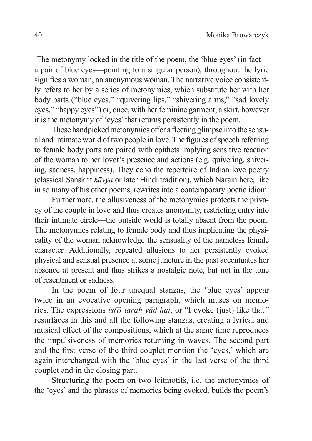The metonymy locked in the title of the poem, the 'blue eyes' (in fact a pair of blue eyes—pointing to a singular person), throughout the lyric signifies a woman, an anonymous woman. The narrative voice consistently refers to her by a series of metonymies, which substitute her with her body parts ("blue eyes," "quivering lips," "shivering arms," "sad lovely eyes," "happy eyes") or, once, with her feminine garment, a skirt, however it is the metonymy of 'eyes' that returns persistently in the poem.

These handpicked metonymies offer afleeting glimpse into the sensual and intimate world of two people in love. The figures of speech referring to female body parts are paired with epithets implying sensitive reaction of the woman to her lover's presence and actions (e.g. quivering, shivering, sadness, happiness). They echo the repertoire of Indian love poetry (classical Sanskrit *kāvya* or later Hindi tradition), which Narain here, like in so many of his other poems, rewrites into a contemporary poetic idiom.

Furthermore, the allusiveness of the metonymies protects the privacy of the couple in love and thus creates anonymity, restricting entry into their intimate circle—the outside world is totally absent from the poem. The metonymies relating to female body and thus implicating the physicality of the woman acknowledge the sensuality of the nameless female character. Additionally, repeated allusions to her persistently evoked physical and sensual presence at some juncture in the past accentuates her absence at present and thus strikes a nostalgic note, but not in the tone of resentment or sadness.

In the poem of four unequal stanzas, the 'blue eyes' appear twice in an evocative opening paragraph, which muses on memories. The expressions *is(ī) tarah yād hai*, or "I evoke (just) like that*"* resurfaces in this and all the following stanzas, creating a lyrical and musical effect of the compositions, which at the same time reproduces the impulsiveness of memories returning in waves. The second part and the first verse of the third couplet mention the 'eyes,' which are again interchanged with the 'blue eyes' in the last verse of the third couplet and in the closing part.

Structuring the poem on two leitmotifs, i.e. the metonymies of the 'eyes' and the phrases of memories being evoked, builds the poem's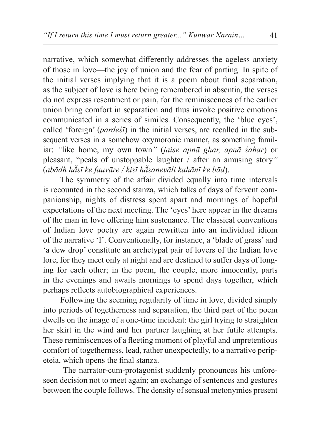narrative, which somewhat differently addresses the ageless anxiety of those in love—the joy of union and the fear of parting. In spite of the initial verses implying that it is a poem about final separation, as the subject of love is here being remembered in absentia, the verses do not express resentment or pain, for the reminiscences of the earlier union bring comfort in separation and thus invoke positive emotions communicated in a series of similes. Consequently, the 'blue eyes', called 'foreign' (*pardeśī*) in the initial verses, are recalled in the subsequent verses in a somehow oxymoronic manner, as something familiar: *"*like home, my own town*"* (*jaise apnā ghar, apnā śahar*) or pleasant, "peals of unstoppable laughter / after an amusing story*"*  (*abādh hāsī ke ̃ fauvāre / kisī hāsanevāli kahānī ke ̃ bād*).

The symmetry of the affair divided equally into time intervals is recounted in the second stanza, which talks of days of fervent companionship, nights of distress spent apart and mornings of hopeful expectations of the next meeting. The 'eyes' here appear in the dreams of the man in love offering him sustenance. The classical conventions of Indian love poetry are again rewritten into an individual idiom of the narrative 'I'. Conventionally, for instance, a 'blade of grass' and 'a dew drop' constitute an archetypal pair of lovers of the Indian love lore, for they meet only at night and are destined to suffer days of longing for each other; in the poem, the couple, more innocently, parts in the evenings and awaits mornings to spend days together, which perhaps reflects autobiographical experiences.

Following the seeming regularity of time in love, divided simply into periods of togetherness and separation, the third part of the poem dwells on the image of a one-time incident: the girl trying to straighten her skirt in the wind and her partner laughing at her futile attempts. These reminiscences of a fleeting moment of playful and unpretentious comfort of togetherness, lead, rather unexpectedly, to a narrative peripeteia, which opens the final stanza.

 The narrator-cum-protagonist suddenly pronounces his unforeseen decision not to meet again; an exchange of sentences and gestures between the couple follows. The density of sensual metonymies present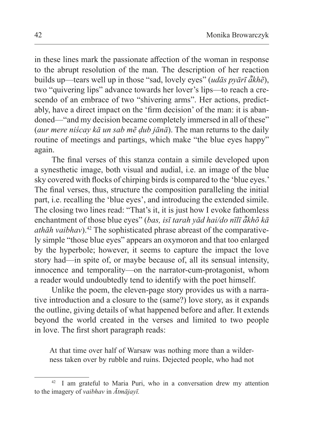in these lines mark the passionate affection of the woman in response to the abrupt resolution of the man. The description of her reaction builds up—tears well up in those "sad, lovely eyes" *(udās pyārī ā̃khē*), two "quivering lips" advance towards her lover's lips—to reach a crescendo of an embrace of two "shivering arms". Her actions, predictably, have a direct impact on the 'firm decision' of the man: it is abandoned—"and my decision became completely immersed in all of these" (*aur mere niścay kā un sab mẽ ḍub jānā*). The man returns to the daily routine of meetings and partings, which make "the blue eyes happy" again.

The final verses of this stanza contain a simile developed upon a synesthetic image, both visual and audial, i.e. an image of the blue sky covered with flocks of chirping birds is compared to the 'blue eyes.' The final verses, thus, structure the composition paralleling the initial part, i.e. recalling the 'blue eyes', and introducing the extended simile. The closing two lines read: "That's it, it is just how I evoke fathomless enchantment of those blue eyes" (*bas, isī tarah yād hai/do nīlī ākhõ kā ̃ athāh vaibhav*).42 The sophisticated phrase abreast of the comparatively simple "those blue eyes" appears an oxymoron and that too enlarged by the hyperbole; however, it seems to capture the impact the love story had—in spite of, or maybe because of, all its sensual intensity, innocence and temporality—on the narrator-cum-protagonist, whom a reader would undoubtedly tend to identify with the poet himself.

Unlike the poem, the eleven-page story provides us with a narrative introduction and a closure to the (same?) love story, as it expands the outline, giving details of what happened before and after. It extends beyond the world created in the verses and limited to two people in love. The first short paragraph reads:

At that time over half of Warsaw was nothing more than a wilderness taken over by rubble and ruins. Dejected people, who had not

<sup>&</sup>lt;sup>42</sup> I am grateful to Maria Puri, who in a conversation drew my attention to the imagery of *vaibhav* in *Ātmājayī.*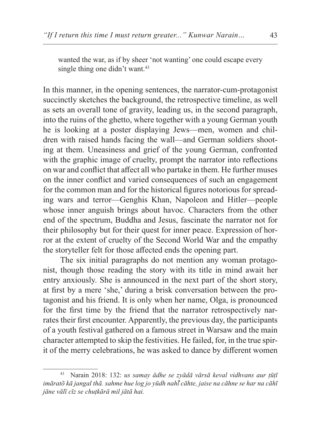wanted the war, as if by sheer 'not wanting' one could escape every single thing one didn't want.<sup>43</sup>

In this manner, in the opening sentences, the narrator-cum-protagonist succinctly sketches the background, the retrospective timeline, as well as sets an overall tone of gravity, leading us, in the second paragraph, into the ruins of the ghetto, where together with a young German youth he is looking at a poster displaying Jews—men, women and children with raised hands facing the wall—and German soldiers shooting at them. Uneasiness and grief of the young German, confronted with the graphic image of cruelty, prompt the narrator into reflections on war and conflict that affect all who partake in them. He further muses on the inner conflict and varied consequences of such an engagement for the common man and for the historical figures notorious for spreading wars and terror—Genghis Khan, Napoleon and Hitler—people whose inner anguish brings about havoc. Characters from the other end of the spectrum, Buddha and Jesus, fascinate the narrator not for their philosophy but for their quest for inner peace. Expression of horror at the extent of cruelty of the Second World War and the empathy the storyteller felt for those affected ends the opening part.

The six initial paragraphs do not mention any woman protagonist, though those reading the story with its title in mind await her entry anxiously. She is announced in the next part of the short story, at first by a mere 'she,' during a brisk conversation between the protagonist and his friend. It is only when her name, Olga, is pronounced for the first time by the friend that the narrator retrospectively narrates their first encounter. Apparently, the previous day, the participants of a youth festival gathered on a famous street in Warsaw and the main character attempted to skip the festivities. He failed, for, in the true spirit of the merry celebrations, he was asked to dance by different women

<sup>43</sup> Narain 2018: 132: *us samay ādhe se zyādā vārsā keval vidhvans aur ṭūṭī imāratõ kā jangal thā. sahme hue log jo yūdh nahī cāhte, jaise na ̃ cāhne se har na cāhī jāne vālī cīz se chuṭkārā mil jātā hai.*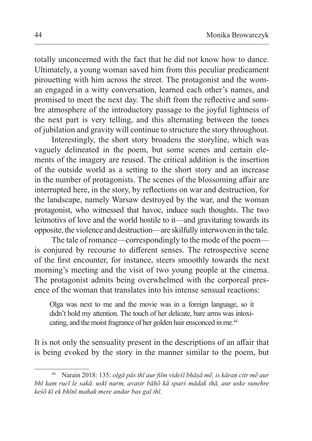totally unconcerned with the fact that he did not know how to dance. Ultimately, a young woman saved him from this peculiar predicament pirouetting with him across the street. The protagonist and the woman engaged in a witty conversation, learned each other's names, and promised to meet the next day. The shift from the reflective and sombre atmosphere of the introductory passage to the joyful lightness of the next part is very telling, and this alternating between the tones of jubilation and gravity will continue to structure the story throughout.

Interestingly, the short story broadens the storyline, which was vaguely delineated in the poem, but some scenes and certain elements of the imagery are reused. The critical addition is the insertion of the outside world as a setting to the short story and an increase in the number of protagonists. The scenes of the blossoming affair are interrupted here, in the story, by reflections on war and destruction, for the landscape, namely Warsaw destroyed by the war, and the woman protagonist, who witnessed that havoc, induce such thoughts. The two leitmotivs of love and the world hostile to it—and gravitating towards its opposite, the violence and destruction—are skilfully interwoven in the tale.

The tale of romance—correspondingly to the mode of the poem is conjured by recourse to different senses. The retrospective scene of the first encounter, for instance, steers smoothly towards the next morning's meeting and the visit of two young people at the cinema. The protagonist admits being overwhelmed with the corporeal presence of the woman that translates into his intense sensual reactions:

Olga was next to me and the movie was in a foreign language, so it didn't hold my attention. The touch of her delicate, bare arms was intoxicating, and the moist fragrance of her golden hair ensconced in me.<sup>44</sup>

It is not only the sensuality present in the descriptions of an affair that is being evoked by the story in the manner similar to the poem, but

<sup>44</sup> Narain 2018: 135: *olgā pās thī aur film videśī bhāṣā mẽ, is kāraṇ citr mẽ aur bhī kam rucī le sakā. uskī narm, avastr bāhõ kā sparś mādak thā, aur uske sunehre keśõ kī ek bhīnī mahak mere andar bas gaī thī.*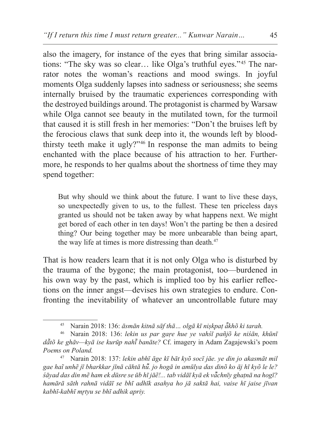also the imagery, for instance of the eyes that bring similar associations: "The sky was so clear… like Olga's truthful eyes."45 The narrator notes the woman's reactions and mood swings. In joyful moments Olga suddenly lapses into sadness or seriousness; she seems internally bruised by the traumatic experiences corresponding with the destroyed buildings around. The protagonist is charmed by Warsaw while Olga cannot see beauty in the mutilated town, for the turmoil that caused it is still fresh in her memories: "Don't the bruises left by the ferocious claws that sunk deep into it, the wounds left by bloodthirsty teeth make it ugly?"46 In response the man admits to being enchanted with the place because of his attraction to her. Furthermore, he responds to her qualms about the shortness of time they may spend together:

But why should we think about the future. I want to live these days, so unexpectedly given to us, to the fullest. These ten priceless days granted us should not be taken away by what happens next. We might get bored of each other in ten days! Won't the parting be then a desired thing? Our being together may be more unbearable than being apart, the way life at times is more distressing than death.<sup>47</sup>

That is how readers learn that it is not only Olga who is disturbed by the trauma of the bygone; the main protagonist, too—burdened in his own way by the past, which is implied too by his earlier reflections on the inner angst—devises his own strategies to endure. Confronting the inevitability of whatever an uncontrollable future may

<sup>45</sup> Narain 2018: 136: *āsmān kitnā sāf thā… olgā kī niṣkpaṭ ākhõ ki ̃ tarah.*

<sup>46</sup> Narain 2018: 136: *lekin us par gaṛe hue ye vahśī pañjõ ke niśān, khūnī dātõ ke ̃ ghāv—kyā ise kurūp nahī banāte? ̃* Cf. imagery in Adam Zagajewski's poem *Poems on Poland.*

<sup>47</sup> Narain 2018: 137: *lekin abhī āge kī bāt kyõ socī jāe. ye din jo akasmāt mil gae haĩ unhẽ jī bharkkar jīnā cāhtā hū. jo ̃ hogā in amūlya das dinõ ko āj hī kyõ le le? śāyad das din mẽ ham ek dūsre se ūb hī jāẽ!... tab vidāī kyā ek vāchnīy ghaṭnā na ̃ hogī? hamārā sāth rahnā vidāī se bhī adhīk asahya ho jā saktā hai, vaise hī jaise jīvan kabhī-kabhī mr̥tyu se bhī adhik apriy.*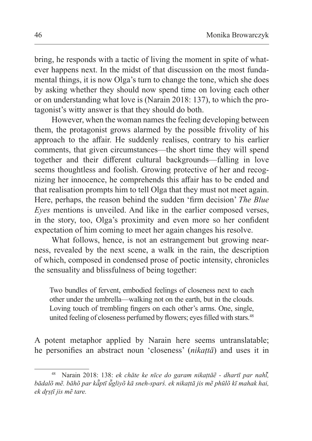bring, he responds with a tactic of living the moment in spite of whatever happens next. In the midst of that discussion on the most fundamental things, it is now Olga's turn to change the tone, which she does by asking whether they should now spend time on loving each other or on understanding what love is (Narain 2018: 137), to which the protagonist's witty answer is that they should do both.

However, when the woman names the feeling developing between them, the protagonist grows alarmed by the possible frivolity of his approach to the affair. He suddenly realises, contrary to his earlier comments, that given circumstances—the short time they will spend together and their different cultural backgrounds—falling in love seems thoughtless and foolish. Growing protective of her and recognizing her innocence, he comprehends this affair has to be ended and that realisation prompts him to tell Olga that they must not meet again. Here, perhaps, the reason behind the sudden 'firm decision' *The Blue Eyes* mentions is unveiled. And like in the earlier composed verses, in the story, too, Olga's proximity and even more so her confident expectation of him coming to meet her again changes his resolve.

What follows, hence, is not an estrangement but growing nearness, revealed by the next scene, a walk in the rain, the description of which, composed in condensed prose of poetic intensity, chronicles the sensuality and blissfulness of being together:

Two bundles of fervent, embodied feelings of closeness next to each other under the umbrella—walking not on the earth, but in the clouds. Loving touch of trembling fingers on each other's arms. One, single, united feeling of closeness perfumed by flowers; eyes filled with stars.<sup>48</sup>

A potent metaphor applied by Narain here seems untranslatable; he personifies an abstract noun 'closeness' (*nikaṭtā*) and uses it in

<sup>48</sup> Narain 2018: 138: *ek chāte ke nīce do garam nikaṭtāẽ - dhartī par nahī, ̃ bādalõ mẽ. bāhõ par kāptī u ̃ ̄gliyõ kā sneh-sparś. ek ̃ nikaṭtā jis mẽ phūlõ kī mahak hai, ek dr̥ṣṭī jis mẽ tare.*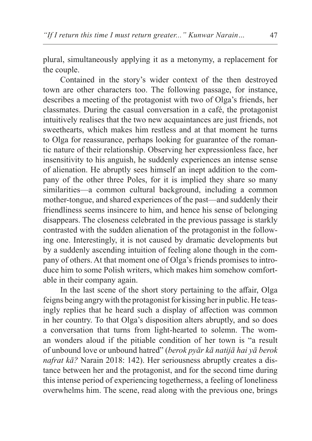plural, simultaneously applying it as a metonymy, a replacement for the couple.

Contained in the story's wider context of the then destroyed town are other characters too. The following passage, for instance, describes a meeting of the protagonist with two of Olga's friends, her classmates. During the casual conversation in a café, the protagonist intuitively realises that the two new acquaintances are just friends, not sweethearts, which makes him restless and at that moment he turns to Olga for reassurance, perhaps looking for guarantee of the romantic nature of their relationship. Observing her expressionless face, her insensitivity to his anguish, he suddenly experiences an intense sense of alienation. He abruptly sees himself an inept addition to the company of the other three Poles, for it is implied they share so many similarities—a common cultural background, including a common mother-tongue, and shared experiences of the past—and suddenly their friendliness seems insincere to him, and hence his sense of belonging disappears. The closeness celebrated in the previous passage is starkly contrasted with the sudden alienation of the protagonist in the following one. Interestingly, it is not caused by dramatic developments but by a suddenly ascending intuition of feeling alone though in the company of others. At that moment one of Olga's friends promises to introduce him to some Polish writers, which makes him somehow comfortable in their company again.

In the last scene of the short story pertaining to the affair, Olga feigns being angry with the protagonist for kissing her in public. He teasingly replies that he heard such a display of affection was common in her country. To that Olga's disposition alters abruptly, and so does a conversation that turns from light-hearted to solemn. The woman wonders aloud if the pitiable condition of her town is "a result of unbound love or unbound hatred" (*berok pyār kā natijā hai yā berok nafrat kā?* Narain 2018: 142). Her seriousness abruptly creates a distance between her and the protagonist, and for the second time during this intense period of experiencing togetherness, a feeling of loneliness overwhelms him. The scene, read along with the previous one, brings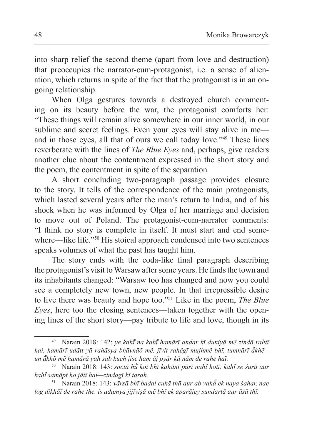into sharp relief the second theme (apart from love and destruction) that preoccupies the narrator-cum-protagonist, i.e. a sense of alienation, which returns in spite of the fact that the protagonist is in an ongoing relationship.

When Olga gestures towards a destroyed church commenting on its beauty before the war, the protagonist comforts her: "These things will remain alive somewhere in our inner world, in our sublime and secret feelings. Even your eyes will stay alive in me and in those eyes, all that of ours we call today love."49 These lines reverberate with the lines of *The Blue Eyes* and, perhaps, give readers another clue about the contentment expressed in the short story and the poem, the contentment in spite of the separation*.* 

A short concluding two-paragraph passage provides closure to the story. It tells of the correspondence of the main protagonists, which lasted several years after the man's return to India, and of his shock when he was informed by Olga of her marriage and decision to move out of Poland. The protagonist-cum-narrator comments: "I think no story is complete in itself. It must start and end somewhere—like life."<sup>50</sup> His stoical approach condensed into two sentences speaks volumes of what the past has taught him.

The story ends with the coda-like final paragraph describing the protagonist's visit to Warsaw after some years. He finds the town and its inhabitants changed: "Warsaw too has changed and now you could see a completely new town, new people. In that irrepressible desire to live there was beauty and hope too."51 Like in the poem, *The Blue Eyes*, here too the closing sentences—taken together with the opening lines of the short story—pay tribute to life and love, though in its

<sup>49</sup> Narain 2018: 142: *ye kahī na ̃ kahī hamārī andar kī duniyā mẽ zindā rahtī ̃ hai, hamārī udātt yā rahāsya bhāvnāõ mẽ. jīvit rahẽgī mujhmẽ bhī, tumhārī ākhẽ - ̃ un ākhõ mẽ hamārā yah sab kuch jise ham āj pyār kā nām de ̃ rahe haĩ.*

<sup>50</sup> Narain 2018: 143: *soctā hū ko ̃ ī bhī kahānī pūrī nahī hotī. kahi ̃ ̄ se ̃ śurū aur kahī sam ̃ āpt ho jātī hai—zindagī kī tarah.*

<sup>51</sup> Narain 2018: 143: *vārsā bhī badal cukā thā aur ab vahā ek ̃ naya śahar, nae log dikhāī de rahe the. is adamya jijīviṣā mẽ bhī ek aparājey sundartā aur āśā thī.*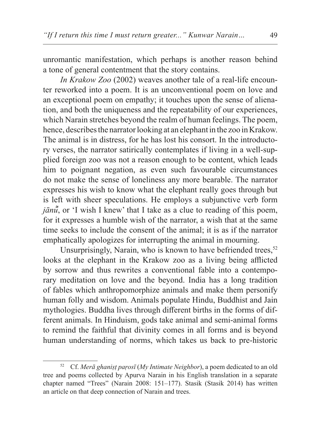unromantic manifestation, which perhaps is another reason behind a tone of general contentment that the story contains.

*In Krakow Zoo* (2002) weaves another tale of a real-life encounter reworked into a poem. It is an unconventional poem on love and an exceptional poem on empathy; it touches upon the sense of alienation, and both the uniqueness and the repeatability of our experiences, which Narain stretches beyond the realm of human feelings. The poem, hence, describes the narrator looking at an elephant in the zoo in Krakow. The animal is in distress, for he has lost his consort. In the introductory verses, the narrator satirically contemplates if living in a well-supplied foreign zoo was not a reason enough to be content, which leads him to poignant negation, as even such favourable circumstances do not make the sense of loneliness any more bearable. The narrator expresses his wish to know what the elephant really goes through but is left with sheer speculations. He employs a subjunctive verb form *jānū*, or *<sup><i>̃</sup>* I wish I knew' that I take as a clue to reading of this poem,</sup> for it expresses a humble wish of the narrator, a wish that at the same time seeks to include the consent of the animal; it is as if the narrator emphatically apologizes for interrupting the animal in mourning.

Unsurprisingly, Narain, who is known to have befriended trees,  $52$ looks at the elephant in the Krakow zoo as a living being afflicted by sorrow and thus rewrites a conventional fable into a contemporary meditation on love and the beyond. India has a long tradition of fables which anthropomorphize animals and make them personify human folly and wisdom. Animals populate Hindu, Buddhist and Jain mythologies. Buddha lives through different births in the forms of different animals. In Hinduism, gods take animal and semi-animal forms to remind the faithful that divinity comes in all forms and is beyond human understanding of norms, which takes us back to pre-historic

<sup>52</sup> Cf. *Merā ghaniṣṭ parosī* (*My Intimate Neighbor*), a poem dedicated to an old tree and poems collected by Apurva Narain in his English translation in a separate chapter named "Trees" (Narain 2008: 151–177). Stasik (Stasik 2014) has written an article on that deep connection of Narain and trees.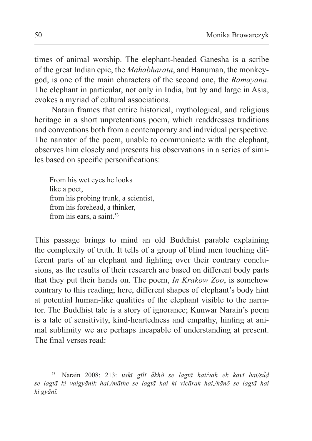times of animal worship. The elephant-headed Ganesha is a scribe of the great Indian epic, the *Mahabharata*, and Hanuman, the monkeygod, is one of the main characters of the second one, the *Ramayana*. The elephant in particular, not only in India, but by and large in Asia, evokes a myriad of cultural associations.

Narain frames that entire historical, mythological, and religious heritage in a short unpretentious poem, which readdresses traditions and conventions both from a contemporary and individual perspective. The narrator of the poem, unable to communicate with the elephant, observes him closely and presents his observations in a series of similes based on specific personifications:

From his wet eyes he looks like a poet, from his probing trunk, a scientist, from his forehead, a thinker, from his ears, a saint.<sup>53</sup>

This passage brings to mind an old Buddhist parable explaining the complexity of truth. It tells of a group of blind men touching different parts of an elephant and fighting over their contrary conclusions, as the results of their research are based on different body parts that they put their hands on. The poem, *In Krakow Zoo*, is somehow contrary to this reading; here, different shapes of elephant's body hint at potential human-like qualities of the elephant visible to the narrator. The Buddhist tale is a story of ignorance; Kunwar Narain's poem is a tale of sensitivity, kind-heartedness and empathy, hinting at animal sublimity we are perhaps incapable of understanding at present. The final verses read:

<sup>53</sup> Narain 2008: 213: *uskī gīlī ākhõ se ̃ lagtā hai/vah ek kavī hai/sūḍ ̃ se lagtā ki vaigyānik hai,/māthe se lagtā hai ki vicārak hai,/kānõ se lagtā hai ki gyānī.*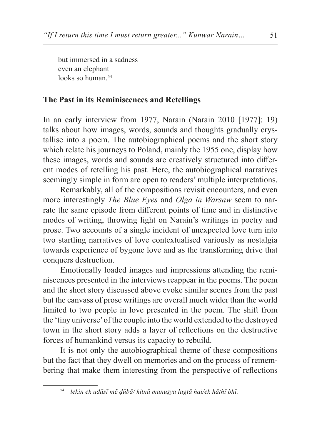but immersed in a sadness even an elephant looks so human.<sup>54</sup>

#### **The Past in its Reminiscences and Retellings**

In an early interview from 1977, Narain (Narain 2010 [1977]: 19) talks about how images, words, sounds and thoughts gradually crystallise into a poem. The autobiographical poems and the short story which relate his journeys to Poland, mainly the 1955 one, display how these images, words and sounds are creatively structured into different modes of retelling his past. Here, the autobiographical narratives seemingly simple in form are open to readers' multiple interpretations.

Remarkably, all of the compositions revisit encounters, and even more interestingly *The Blue Eyes* and *Olga in Warsaw* seem to narrate the same episode from different points of time and in distinctive modes of writing, throwing light on Narain's writings in poetry and prose. Two accounts of a single incident of unexpected love turn into two startling narratives of love contextualised variously as nostalgia towards experience of bygone love and as the transforming drive that conquers destruction.

Emotionally loaded images and impressions attending the reminiscences presented in the interviews reappear in the poems. The poem and the short story discussed above evoke similar scenes from the past but the canvass of prose writings are overall much wider than the world limited to two people in love presented in the poem. The shift from the 'tiny universe' of the couple into the world extended to the destroyed town in the short story adds a layer of reflections on the destructive forces of humankind versus its capacity to rebuild.

It is not only the autobiographical theme of these compositions but the fact that they dwell on memories and on the process of remembering that make them interesting from the perspective of reflections

<sup>54</sup> *lekin ek udāsī mẽ ḍūbā/ kitnā manuṣya lagtā hai/ek hāthī bhī.*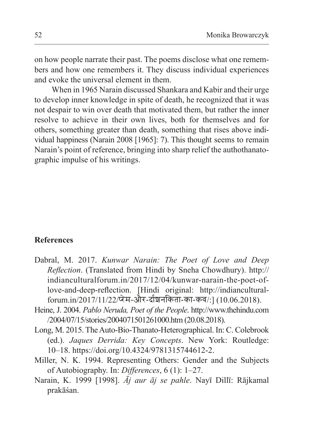on how people narrate their past. The poems disclose what one remembers and how one remembers it. They discuss individual experiences and evoke the universal element in them.

When in 1965 Narain discussed Shankara and Kabir and their urge to develop inner knowledge in spite of death, he recognized that it was not despair to win over death that motivated them, but rather the inner resolve to achieve in their own lives, both for themselves and for others, something greater than death, something that rises above individual happiness (Narain 2008 [1965]: 7). This thought seems to remain Narain's point of reference, bringing into sharp relief the authothanatographic impulse of his writings.

### **References**

- Dabral, M. 2017. *Kunwar Narain: The Poet of Love and Deep Reflection*. (Translated from Hindi by Sneha Chowdhury). http:// indianculturalforum.in/2017/12/04/kunwar-narain-the-poet-oflove-and-deep-reflection. [Hindi original: http://indianculturalforum.in/2017/11/22/प्रेम-और-दार्शनिकता-का-कव/:] (10.06.2018).
- Heine, J. 2004. *Pablo Neruda, Poet of the People*. http://www.thehindu.com /2004/07/15/stories/2004071501261000.htm (20.08.2018).
- Long, M. 2015. The Auto-Bio-Thanato-Heterographical. In: C. Colebrook (ed.). *Jaques Derrida: Key Concepts*. New York: Routledge: 10–18. https://doi.org/10.4324/9781315744612-2.
- Miller, N. K. 1994. Representing Others: Gender and the Subjects of Autobiography. In: *Differences*, 6 (1): 1–27.
- Narain, K. 1999 [1998]. *Āj aur āj se pahle*. Nayī Dillī: Rājkamal prakāśan.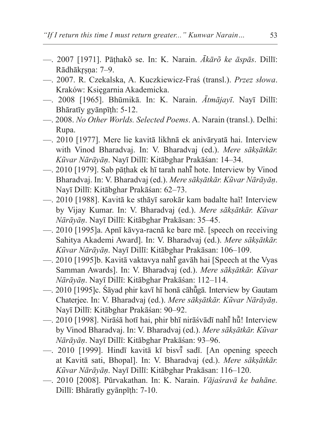- —. 2007 [1971]. Pāṭhakõ se. In: K. Narain. *Ākārõ ke āspās*. Dillī: Rādhākrsna: 7-9.
- —. 2007. R. Czekalska, A. Kuczkiewicz-Fraś (transl.). *Przez słowa*. Kraków: Księgarnia Akademicka.
- —. 2008 [1965]. Bhūmikā. In: K. Narain. *Ātmājayī*. Nayī Dillī: Bhāratīy gyānpīṭh: 5-12.
- —. 2008. *No Other Worlds. Selected Poems*. A. Narain (transl.). Delhi: Rupa.
- —. 2010 [1977]. Mere lie kavitā likhnā ek anivāryatā hai. Interview with Vinod Bharadvaj. In: V. Bharadvaj (ed.). *Mere sākṣātkār. Kũvar Nārāyāṇ*. Nayī Dillī: Kitābghar Prakāśan: 14–34.
- —. 2010 [1979]. Sab pāthak ek hī tarah nahī hote. Interview by Vinod Bharadvaj. In: V. Bharadvaj (ed.). *Mere sākṣātkār. Kũvar Nārāyāṇ*. Nayī Dillī: Kitābghar Prakāśan: 62–73.
- —. 2010 [1988]. Kavitā ke sthāyī sarokār kam badalte haĩ! Interview by Vijay Kumar. In: V. Bharadvaj (ed.). *Mere sākṣātkār. Kũvar Nārāyāṇ*. Nayī Dillī: Kitābghar Prakāsan: 35–45.
- —. 2010 [1995]a. Apnī kāvya-racnā ke bare mẽ. [speech on receiving Sahitya Akademi Award]. In: V. Bharadvaj (ed.). *Mere sākṣātkār. Kũvar Nārāyāṇ*. Nayī Dillī: Kitābghar Prakāsan: 106–109.
- —. 2010 [1995]b. Kavitā vaktavya nahī gavāh hai [Speech at the Vyas] Samman Awards]. In: V. Bharadvaj (ed.). *Mere sākṣātkār. Kũvar Nārāyāṇ*. Nayī Dillī: Kitābghar Prakāśan: 112–114.
- —. 2010 [1995]c. Śāyad phir kavī hī honā cāhūgā. Interview by Gautam Chaterjee. In: V. Bharadvaj (ed.). *Mere sākṣātkār. Kũvar Nārāyāṇ*. Nayī Dillī: Kitābghar Prakāśan: 90–92.
- —. 2010 [1998]. Nirāśā hotī hai, phir bhī nirāśvādī nahī̃ hū̃! Interview by Vinod Bharadvaj. In: V. Bharadvaj (ed.). *Mere sākṣātkār. Kũvar Nārāyāṇ*. Nayī Dillī: Kitābghar Prakāśan: 93–96.
- —. 2010 [1999]. Hindī kavitā kī bisvī sadī. [An opening speech at Kavitā sati, Bhopal]. In: V. Bharadvaj (ed.). *Mere sākṣātkār. Kũvar Nārāyāṇ*. Nayī Dillī: Kitābghar Prakāsan: 116–120.
- —. 2010 [2008]. Pūrvakathan. In: K. Narain. *Vājaśravā ke bahāne.*  Dillī: Bhāratīy gyānpīṭh: 7-10.